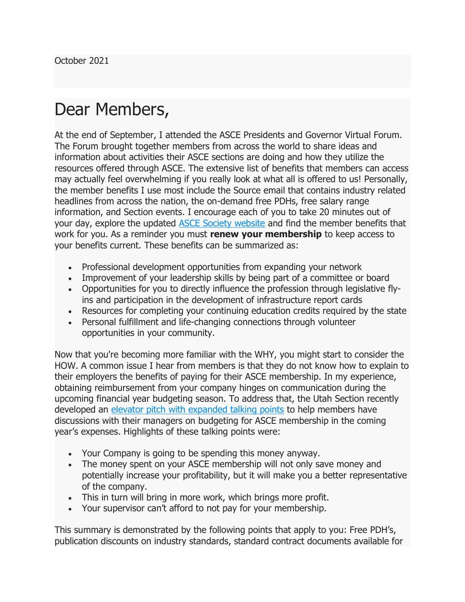## Dear Members,

At the end of September, I attended the ASCE Presidents and Governor Virtual Forum. The Forum brought together members from across the world to share ideas and information about activities their ASCE sections are doing and how they utilize the resources offered through ASCE. The extensive list of benefits that members can access may actually feel overwhelming if you really look at what all is offered to us! Personally, the member benefits I use most include the Source email that contains industry related headlines from across the nation, the on-demand free PDHs, free salary range information, and Section events. I encourage each of you to take 20 minutes out of your day, explore the updated ASCE Society website and find the member benefits that work for you. As a reminder you must renew your membership to keep access to your benefits current. These benefits can be summarized as:

- Professional development opportunities from expanding your network
- Improvement of your leadership skills by being part of a committee or board
- Opportunities for you to directly influence the profession through legislative flyins and participation in the development of infrastructure report cards
- Resources for completing your continuing education credits required by the state
- Personal fulfillment and life-changing connections through volunteer opportunities in your community.

Now that you're becoming more familiar with the WHY, you might start to consider the HOW. A common issue I hear from members is that they do not know how to explain to their employers the benefits of paying for their ASCE membership. In my experience, obtaining reimbursement from your company hinges on communication during the upcoming financial year budgeting season. To address that, the Utah Section recently developed an elevator pitch with expanded talking points to help members have discussions with their managers on budgeting for ASCE membership in the coming year's expenses. Highlights of these talking points were:

- Your Company is going to be spending this money anyway.
- The money spent on your ASCE membership will not only save money and potentially increase your profitability, but it will make you a better representative of the company.
- This in turn will bring in more work, which brings more profit.
- Your supervisor can't afford to not pay for your membership.

This summary is demonstrated by the following points that apply to you: Free PDH's, publication discounts on industry standards, standard contract documents available for